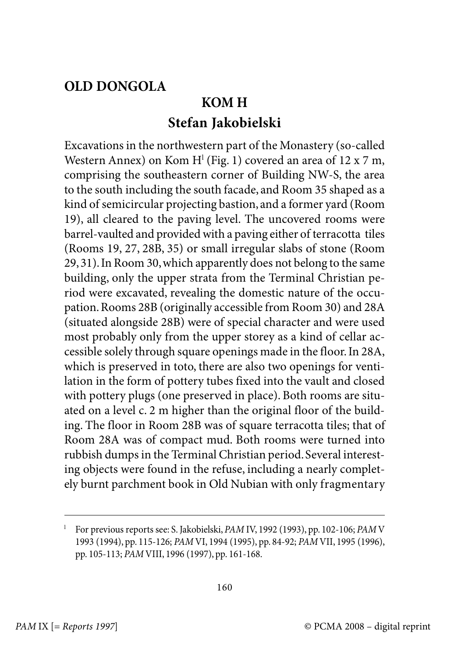## **OLD DONGOLA**

## **KOM H Stefan Jakobielski**

Excavations in the northwestern part of the Monastery (so-called Western Annex) on Kom H<sup>1</sup> (Fig. 1) covered an area of 12 x 7 m, comprising the southeastern corner of Building NW-S, the area to the south including the south facade, and Room 35 shaped as a kind of semicircular projecting bastion, and a former yard (Room 19), all cleared to the paving level. The uncovered rooms were barrel-vaulted and provided with a paving either of terracotta tiles (Rooms 19, 27, 28B, 35) or small irregular slabs of stone (Room 29, 31). In Room 30, which apparently does not belong to the same building, only the upper strata from the Terminal Christian period were excavated, revealing the domestic nature of the occupation. Rooms 28B (originally accessible from Room 30) and 28A (situated alongside 28B) were of special character and were used most probably only from the upper storey as a kind of cellar accessible solely through square openings made in the floor. In 28A, which is preserved in toto, there are also two openings for ventilation in the form of pottery tubes fixed into the vault and closed with pottery plugs (one preserved in place). Both rooms are situated on a level c. 2 m higher than the original floor of the building. The floor in Room 28B was of square terracotta tiles; that of Room 28A was of compact mud. Both rooms were turned into rubbish dumps in the Terminal Christian period. Several interesting objects were found in the refuse, including a nearly completely burnt parchment book in Old Nubian with only fragmentary

<sup>l</sup> For previous reports see: S. Jakobielski, PAM IV, 1992 (1993), pp. 102-106; PAM V 1993 (1994), pp. 115-126; PAM VI, 1994 (1995), pp. 84-92; PAM VII, 1995 (1996), pp. 105-113; PAM VIII, 1996 (1997), pp. 161-168.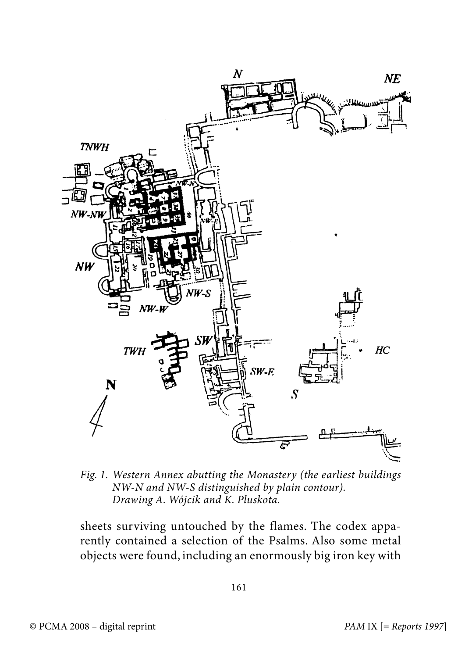

Fig. 1. Western Annex abutting the Monastery (the earliest buildings NW-N and NW-S distinguished by plain contour). Drawing A. Wójcik and K. Pluskota.

sheets surviving untouched by the flames. The codex apparently contained a selection of the Psalms. Also some metal objects were found, including an enormously big iron key with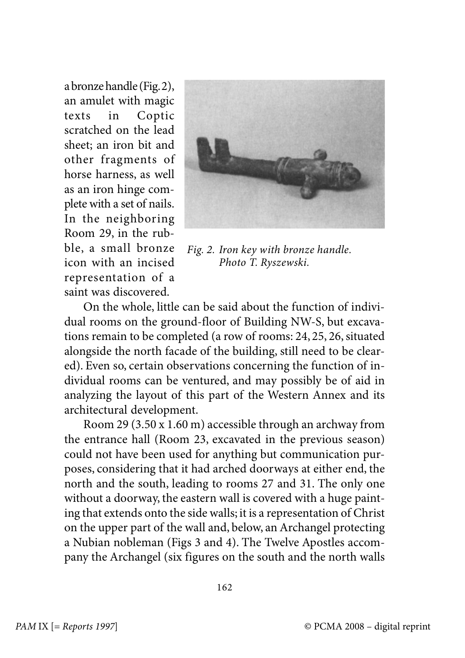a bronze handle (Fig. 2), an amulet with magic texts in Coptic scratched on the lead sheet; an iron bit and other fragments of horse harness, as well as an iron hinge complete with a set of nails. In the neighboring Room 29, in the rubble, a small bronze icon with an incised representation of a saint was discovered.



Fig. 2. Iron key with bronze handle. Photo T. Ryszewski.

On the whole, little can be said about the function of individual rooms on the ground-floor of Building NW-S, but excavations remain to be completed (a row of rooms: 24, 25, 26, situated alongside the north facade of the building, still need to be cleared). Even so, certain observations concerning the function of individual rooms can be ventured, and may possibly be of aid in analyzing the layout of this part of the Western Annex and its architectural development.

Room 29 (3.50 x 1.60 m) accessible through an archway from the entrance hall (Room 23, excavated in the previous season) could not have been used for anything but communication purposes, considering that it had arched doorways at either end, the north and the south, leading to rooms 27 and 31. The only one without a doorway, the eastern wall is covered with a huge painting that extends onto the side walls; it is a representation of Christ on the upper part of the wall and, below, an Archangel protecting a Nubian nobleman (Figs 3 and 4). The Twelve Apostles accompany the Archangel (six figures on the south and the north walls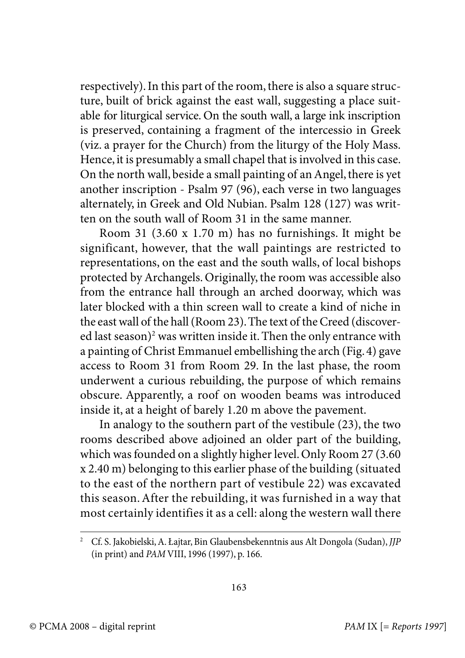respectively). In this part of the room, there is also a square structure, built of brick against the east wall, suggesting a place suitable for liturgical service. On the south wall, a large ink inscription is preserved, containing a fragment of the intercessio in Greek (viz. a prayer for the Church) from the liturgy of the Holy Mass. Hence, it is presumably a small chapel that is involved in this case. On the north wall, beside a small painting of an Angel, there is yet another inscription - Psalm 97 (96), each verse in two languages alternately, in Greek and Old Nubian. Psalm 128 (127) was written on the south wall of Room 31 in the same manner.

Room 31 (3.60 x 1.70 m) has no furnishings. It might be significant, however, that the wall paintings are restricted to representations, on the east and the south walls, of local bishops protected by Archangels. Originally, the room was accessible also from the entrance hall through an arched doorway, which was later blocked with a thin screen wall to create a kind of niche in the east wall of the hall (Room 23). The text of the Creed (discovered last season)<sup>2</sup> was written inside it. Then the only entrance with a painting of Christ Emmanuel embellishing the arch (Fig. 4) gave access to Room 31 from Room 29. In the last phase, the room underwent a curious rebuilding, the purpose of which remains obscure. Apparently, a roof on wooden beams was introduced inside it, at a height of barely 1.20 m above the pavement.

In analogy to the southern part of the vestibule (23), the two rooms described above adjoined an older part of the building, which was founded on a slightly higher level. Only Room 27 (3.60 x 2.40 m) belonging to this earlier phase of the building (situated to the east of the northern part of vestibule 22) was excavated this season. After the rebuilding, it was furnished in a way that most certainly identifies it as a cell: along the western wall there

<sup>2</sup> Cf. S. Jakobielski, A. Łajtar, Bin Glaubensbekenntnis aus Alt Dongola (Sudan), JJP (in print) and PAM VIII, 1996 (1997), p. 166.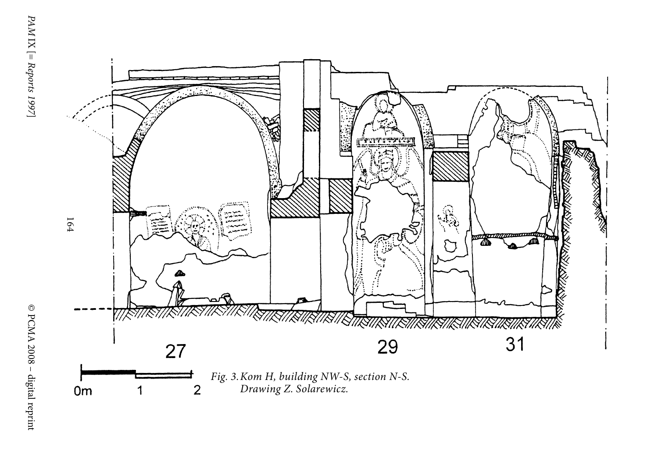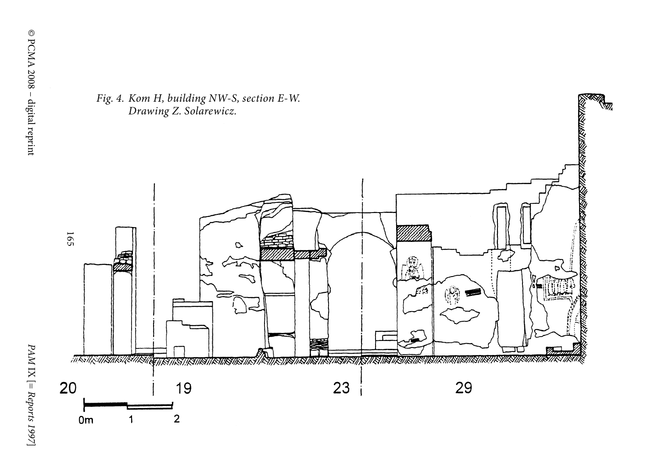

PAM IX [= Reports 1997 PAM IX [= Reports 1997]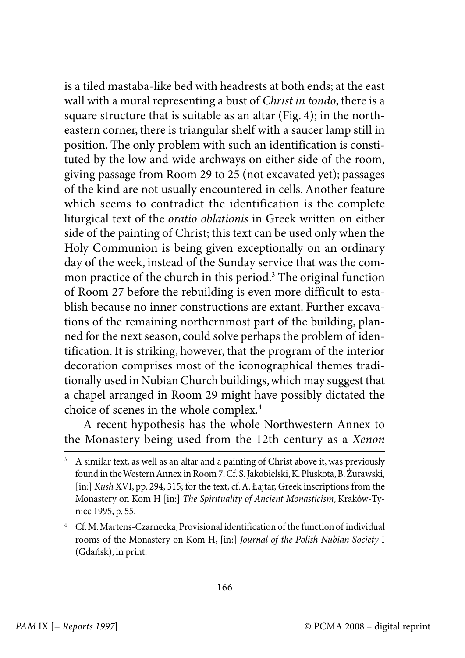is a tiled mastaba-like bed with headrests at both ends; at the east wall with a mural representing a bust of *Christ in tondo*, there is a square structure that is suitable as an altar (Fig. 4); in the northeastern corner, there is triangular shelf with a saucer lamp still in position. The only problem with such an identification is constituted by the low and wide archways on either side of the room, giving passage from Room 29 to 25 (not excavated yet); passages of the kind are not usually encountered in cells. Another feature which seems to contradict the identification is the complete liturgical text of the oratio oblationis in Greek written on either side of the painting of Christ; this text can be used only when the Holy Communion is being given exceptionally on an ordinary day of the week, instead of the Sunday service that was the common practice of the church in this period. $^3$  The original function of Room 27 before the rebuilding is even more difficult to establish because no inner constructions are extant. Further excavations of the remaining northernmost part of the building, planned for the next season, could solve perhaps the problem of identification. It is striking, however, that the program of the interior decoration comprises most of the iconographical themes traditionally used in Nubian Church buildings, which may suggest that a chapel arranged in Room 29 might have possibly dictated the choice of scenes in the whole complex.<sup>4</sup>

A recent hypothesis has the whole Northwestern Annex to the Monastery being used from the 12th century as a Xenon

<sup>&</sup>lt;sup>3</sup> A similar text, as well as an altar and a painting of Christ above it, was previously found in the Western Annex in Room 7. Cf. S. Jakobielski, K. Pluskota, B. Żurawski, [in:] Kush XVI, pp. 294, 315; for the text, cf. A. Łajtar, Greek inscriptions from the Monastery on Kom H [in:] The Spirituality of Ancient Monasticism, Kraków-Tyniec 1995, p. 55.

<sup>4</sup> Cf. M. Martens-Czarnecka, Provisional identification of the function of individual rooms of the Monastery on Kom H, [in:] Journal of the Polish Nubian Society I (Gdańsk), in print.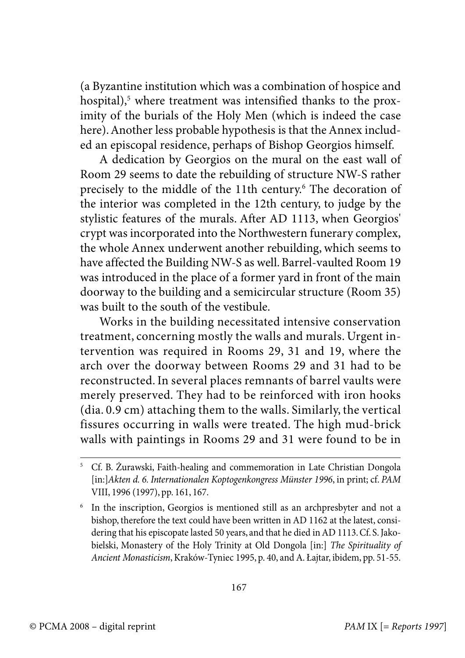(a Byzantine institution which was a combination of hospice and hospital),<sup>5</sup> where treatment was intensified thanks to the proximity of the burials of the Holy Men (which is indeed the case here). Another less probable hypothesis is that the Annex included an episcopal residence, perhaps of Bishop Georgios himself.

A dedication by Georgios on the mural on the east wall of Room 29 seems to date the rebuilding of structure NW-S rather precisely to the middle of the 11th century.<sup>6</sup> The decoration of the interior was completed in the 12th century, to judge by the stylistic features of the murals. After AD 1113, when Georgios' crypt was incorporated into the Northwestern funerary complex, the whole Annex underwent another rebuilding, which seems to have affected the Building NW-S as well. Barrel-vaulted Room 19 was introduced in the place of a former yard in front of the main doorway to the building and a semicircular structure (Room 35) was built to the south of the vestibule.

Works in the building necessitated intensive conservation treatment, concerning mostly the walls and murals. Urgent intervention was required in Rooms 29, 31 and 19, where the arch over the doorway between Rooms 29 and 31 had to be reconstructed. In several places remnants of barrel vaults were merely preserved. They had to be reinforced with iron hooks (dia. 0.9 cm) attaching them to the walls. Similarly, the vertical fissures occurring in walls were treated. The high mud-brick walls with paintings in Rooms 29 and 31 were found to be in

<sup>&</sup>lt;sup>5</sup> Cf. B. Żurawski, Faith-healing and commemoration in Late Christian Dongola [in:]Akten d. 6. Internationalen Koptogenkongress Münster 1996, in print; cf. PAM VIII, 1996 (1997), pp. 161, 167.

<sup>6</sup> In the inscription, Georgios is mentioned still as an archpresbyter and not a bishop, therefore the text could have been written in AD 1162 at the latest, considering that his episcopate lasted 50 years, and that he died in AD 1113. Cf. S. Jakobielski, Monastery of the Holy Trinity at Old Dongola [in:] The Spirituality of Ancient Monasticism, Kraków-Tyniec 1995, p. 40, and A. Łajtar, ibidem, pp. 51-55.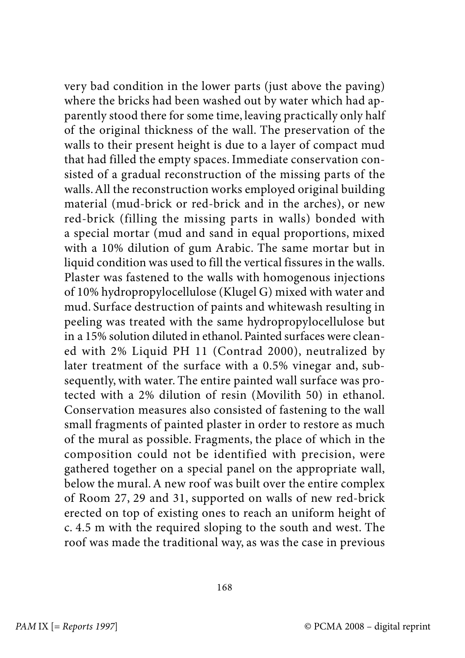very bad condition in the lower parts (just above the paving) where the bricks had been washed out by water which had apparently stood there for some time, leaving practically only half of the original thickness of the wall. The preservation of the walls to their present height is due to a layer of compact mud that had filled the empty spaces. Immediate conservation consisted of a gradual reconstruction of the missing parts of the walls. All the reconstruction works employed original building material (mud-brick or red-brick and in the arches), or new red-brick (filling the missing parts in walls) bonded with a special mortar (mud and sand in equal proportions, mixed with a 10% dilution of gum Arabic. The same mortar but in liquid condition was used to fill the vertical fissures in the walls. Plaster was fastened to the walls with homogenous injections of 10% hydropropylocellulose (Klugel G) mixed with water and mud. Surface destruction of paints and whitewash resulting in peeling was treated with the same hydropropylocellulose but in a 15% solution diluted in ethanol. Painted surfaces were cleaned with 2% Liquid PH 11 (Contrad 2000), neutralized by later treatment of the surface with a 0.5% vinegar and, subsequently, with water. The entire painted wall surface was protected with a 2% dilution of resin (Movilith 50) in ethanol. Conservation measures also consisted of fastening to the wall small fragments of painted plaster in order to restore as much of the mural as possible. Fragments, the place of which in the composition could not be identified with precision, were gathered together on a special panel on the appropriate wall, below the mural. A new roof was built over the entire complex of Room 27, 29 and 31, supported on walls of new red-brick erected on top of existing ones to reach an uniform height of c. 4.5 m with the required sloping to the south and west. The roof was made the traditional way, as was the case in previous